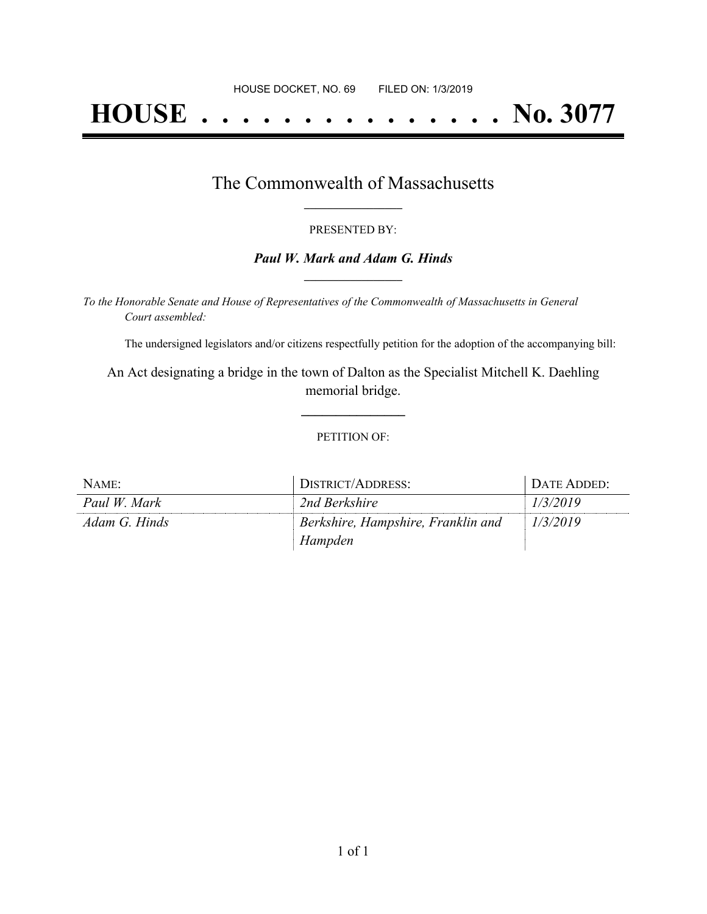# **HOUSE . . . . . . . . . . . . . . . No. 3077**

### The Commonwealth of Massachusetts **\_\_\_\_\_\_\_\_\_\_\_\_\_\_\_\_\_**

#### PRESENTED BY:

#### *Paul W. Mark and Adam G. Hinds* **\_\_\_\_\_\_\_\_\_\_\_\_\_\_\_\_\_**

*To the Honorable Senate and House of Representatives of the Commonwealth of Massachusetts in General Court assembled:*

The undersigned legislators and/or citizens respectfully petition for the adoption of the accompanying bill:

An Act designating a bridge in the town of Dalton as the Specialist Mitchell K. Daehling memorial bridge.

**\_\_\_\_\_\_\_\_\_\_\_\_\_\_\_**

#### PETITION OF:

| NAME:         | DISTRICT/ADDRESS:                  | DATE ADDED: |
|---------------|------------------------------------|-------------|
| Paul W. Mark  | 2nd Berkshire                      | 1/3/2019    |
| Adam G. Hinds | Berkshire, Hampshire, Franklin and | 1/3/2019    |
|               | Hampden                            |             |